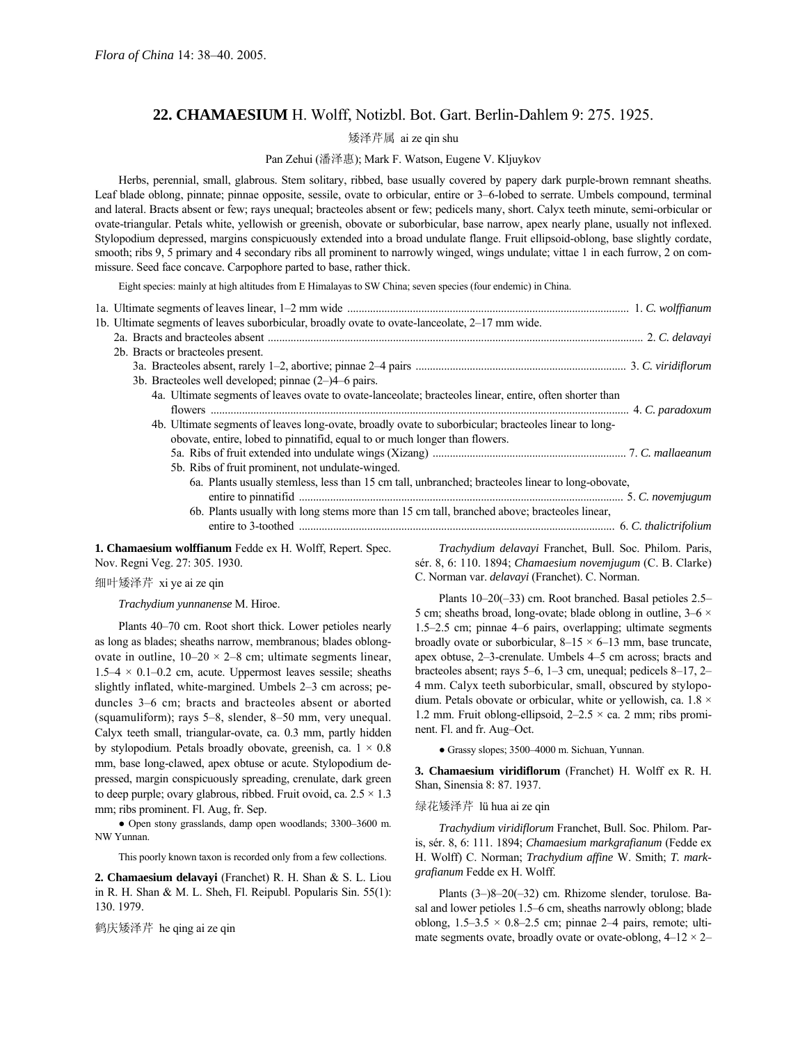# **22. CHAMAESIUM** H. Wolff, Notizbl. Bot. Gart. Berlin-Dahlem 9: 275. 1925.

### 矮泽芹属 ai ze qin shu

### Pan Zehui (潘泽惠); Mark F. Watson, Eugene V. Kljuykov

Herbs, perennial, small, glabrous. Stem solitary, ribbed, base usually covered by papery dark purple-brown remnant sheaths. Leaf blade oblong, pinnate; pinnae opposite, sessile, ovate to orbicular, entire or 3–6-lobed to serrate. Umbels compound, terminal and lateral. Bracts absent or few; rays unequal; bracteoles absent or few; pedicels many, short. Calyx teeth minute, semi-orbicular or ovate-triangular. Petals white, yellowish or greenish, obovate or suborbicular, base narrow, apex nearly plane, usually not inflexed. Stylopodium depressed, margins conspicuously extended into a broad undulate flange. Fruit ellipsoid-oblong, base slightly cordate, smooth; ribs 9, 5 primary and 4 secondary ribs all prominent to narrowly winged, wings undulate; vittae 1 in each furrow, 2 on commissure. Seed face concave. Carpophore parted to base, rather thick.

Eight species: mainly at high altitudes from E Himalayas to SW China; seven species (four endemic) in China.

| 1b. Ultimate segments of leaves suborbicular, broadly ovate to ovate-lanceolate, 2–17 mm wide.                                                                                                                                    |  |
|-----------------------------------------------------------------------------------------------------------------------------------------------------------------------------------------------------------------------------------|--|
|                                                                                                                                                                                                                                   |  |
| 2b. Bracts or bracteoles present.                                                                                                                                                                                                 |  |
|                                                                                                                                                                                                                                   |  |
| 3b. Bracteoles well developed; pinnae $(2-)4-6$ pairs.                                                                                                                                                                            |  |
| 4a. Ultimate segments of leaves ovate to ovate-lanceolate; bracteoles linear, entire, often shorter than                                                                                                                          |  |
|                                                                                                                                                                                                                                   |  |
| 4b. Ultimate segments of leaves long-ovate, broadly ovate to suborbicular; bracteoles linear to long-                                                                                                                             |  |
| obovate, entire, lobed to pinnatifid, equal to or much longer than flowers.                                                                                                                                                       |  |
|                                                                                                                                                                                                                                   |  |
| 5b. Ribs of fruit prominent, not undulate-winged.                                                                                                                                                                                 |  |
| 6a. Plants usually stemless, less than 15 cm tall, unbranched; bracteoles linear to long-obovate,                                                                                                                                 |  |
|                                                                                                                                                                                                                                   |  |
| 6b. Plants usually with long stems more than 15 cm tall, branched above; bracteoles linear,                                                                                                                                       |  |
|                                                                                                                                                                                                                                   |  |
| $\mathbf{v}$ , and the contract of the contract of the contract of the contract of the contract of the contract of the contract of the contract of the contract of the contract of the contract of the contract of the contract o |  |

**1. Chamaesium wolffianum** Fedde ex H. Wolff, Repert. Spec. Nov. Regni Veg. 27: 305. 1930.

## 细叶矮泽芹 xi ye ai ze qin

*Trachydium yunnanense* M. Hiroe.

Plants 40–70 cm. Root short thick. Lower petioles nearly as long as blades; sheaths narrow, membranous; blades oblongovate in outline,  $10-20 \times 2-8$  cm; ultimate segments linear,  $1.5-4 \times 0.1-0.2$  cm, acute. Uppermost leaves sessile; sheaths slightly inflated, white-margined. Umbels 2-3 cm across; peduncles 3-6 cm; bracts and bracteoles absent or aborted (squamuliform); rays  $5-8$ , slender,  $8-50$  mm, very unequal. Calyx teeth small, triangular-ovate, ca. 0.3 mm, partly hidden by stylopodium. Petals broadly obovate, greenish, ca.  $1 \times 0.8$ mm, base long-clawed, apex obtuse or acute. Stylopodium depressed, margin conspicuously spreading, crenulate, dark green to deep purple; ovary glabrous, ribbed. Fruit ovoid, ca.  $2.5 \times 1.3$ mm; ribs prominent. Fl. Aug, fr. Sep.

• Open stony grasslands, damp open woodlands; 3300-3600 m. NW Yunnan.

This poorly known taxon is recorded only from a few collections.

**2. Chamaesium delavayi** (Franchet) R. H. Shan & S. L. Liou in R. H. Shan & M. L. Sheh, Fl. Reipubl. Popularis Sin. 55(1): 130. 1979.

鹤庆矮泽芹 he qing ai ze qin

*Trachydium delavayi* Franchet, Bull. Soc. Philom. Paris, sÈr. 8, 6: 110. 1894; *Chamaesium novemjugum* (C. B. Clarke) C. Norman var. *delavayi* (Franchet). C. Norman.

Plants  $10-20(-33)$  cm. Root branched. Basal petioles 2.5 $-$ 5 cm; sheaths broad, long-ovate; blade oblong in outline,  $3-6 \times$ 1.5–2.5 cm; pinnae 4–6 pairs, overlapping; ultimate segments broadly ovate or suborbicular,  $8-15 \times 6-13$  mm, base truncate, apex obtuse, 2-3-crenulate. Umbels 4-5 cm across; bracts and bracteoles absent; rays  $5-6$ ,  $1-3$  cm, unequal; pedicels  $8-17$ ,  $2-$ 4 mm. Calyx teeth suborbicular, small, obscured by stylopodium. Petals obovate or orbicular, white or yellowish, ca.  $1.8 \times$ 1.2 mm. Fruit oblong-ellipsoid,  $2-2.5 \times$  ca. 2 mm; ribs prominent. Fl. and fr. Aug-Oct.

● Grassy slopes; 3500-4000 m. Sichuan, Yunnan.

**3. Chamaesium viridiflorum** (Franchet) H. Wolff ex R. H. Shan, Sinensia 8: 87. 1937.

#### 绿花矮泽芹 lü hua ai ze qin

*Trachydium viridiflorum* Franchet, Bull. Soc. Philom. Paris, sÈr. 8, 6: 111. 1894; *Chamaesium markgrafianum* (Fedde ex H. Wolff) C. Norman; *Trachydium affine* W. Smith; *T. markgrafianum* Fedde ex H. Wolff.

Plants  $(3–)8–20(-32)$  cm. Rhizome slender, torulose. Basal and lower petioles 1.5–6 cm, sheaths narrowly oblong; blade oblong,  $1.5-3.5 \times 0.8-2.5$  cm; pinnae 2-4 pairs, remote; ultimate segments ovate, broadly ovate or ovate-oblong,  $4-12 \times 2-$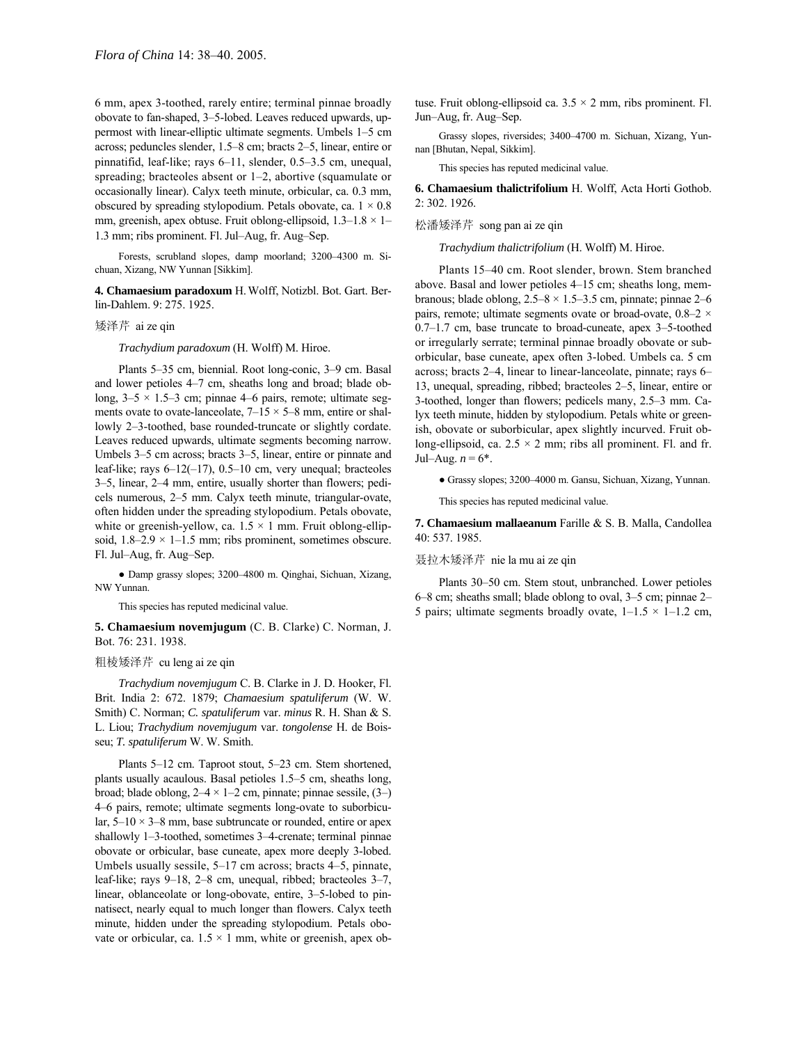6 mm, apex 3-toothed, rarely entire; terminal pinnae broadly obovate to fan-shaped, 3–5-lobed. Leaves reduced upwards, uppermost with linear-elliptic ultimate segments. Umbels 1–5 cm across; peduncles slender, 1.5–8 cm; bracts 2–5, linear, entire or pinnatifid, leaf-like; rays  $6-11$ , slender, 0.5 $-3.5$  cm, unequal, spreading; bracteoles absent or  $1-2$ , abortive (squamulate or occasionally linear). Calyx teeth minute, orbicular, ca. 0.3 mm, obscured by spreading stylopodium. Petals obovate, ca.  $1 \times 0.8$ mm, greenish, apex obtuse. Fruit oblong-ellipsoid,  $1.3-1.8 \times 1-$ 1.3 mm; ribs prominent. Fl. Jul–Aug, fr. Aug–Sep.

Forests, scrubland slopes, damp moorland; 3200-4300 m. Sichuan, Xizang, NW Yunnan [Sikkim].

**4. Chamaesium paradoxum** H.Wolff, Notizbl. Bot. Gart. Berlin-Dahlem. 9: 275. 1925.

矮泽芹 ai ze qin

*Trachydium paradoxum* (H. Wolff) M. Hiroe.

Plants 5–35 cm, biennial. Root long-conic, 3–9 cm. Basal and lower petioles 4-7 cm, sheaths long and broad; blade oblong,  $3-5 \times 1.5-3$  cm; pinnae 4-6 pairs, remote; ultimate segments ovate to ovate-lanceolate,  $7-15 \times 5-8$  mm, entire or shallowly 2-3-toothed, base rounded-truncate or slightly cordate. Leaves reduced upwards, ultimate segments becoming narrow. Umbels 3–5 cm across; bracts 3–5, linear, entire or pinnate and leaf-like; rays  $6-12(-17)$ , 0.5 $-10$  cm, very unequal; bracteoles 3–5, linear, 2–4 mm, entire, usually shorter than flowers; pedicels numerous, 2–5 mm. Calyx teeth minute, triangular-ovate, often hidden under the spreading stylopodium. Petals obovate, white or greenish-yellow, ca.  $1.5 \times 1$  mm. Fruit oblong-ellipsoid,  $1.8-2.9 \times 1-1.5$  mm; ribs prominent, sometimes obscure. Fl. Jul-Aug, fr. Aug-Sep.

• Damp grassy slopes; 3200–4800 m. Qinghai, Sichuan, Xizang, NW Yunnan.

This species has reputed medicinal value.

**5. Chamaesium novemjugum** (C. B. Clarke) C. Norman, J. Bot. 76: 231. 1938.

### 粗棱矮泽芹 cu leng ai ze qin

*Trachydium novemjugum* C. B. Clarke in J. D. Hooker, Fl. Brit. India 2: 672. 1879; *Chamaesium spatuliferum* (W. W. Smith) C. Norman; *C. spatuliferum* var. *minus* R. H. Shan & S. L. Liou; *Trachydium novemjugum* var. *tongolense* H. de Boisseu; *T. spatuliferum* W. W. Smith.

Plants 5–12 cm. Taproot stout, 5–23 cm. Stem shortened, plants usually acaulous. Basal petioles  $1.5-5$  cm, sheaths long, broad; blade oblong,  $2-4 \times 1-2$  cm, pinnate; pinnae sessile, (3–) 4–6 pairs, remote; ultimate segments long-ovate to suborbicular,  $5-10 \times 3-8$  mm, base subtruncate or rounded, entire or apex shallowly 1–3-toothed, sometimes 3–4-crenate; terminal pinnae obovate or orbicular, base cuneate, apex more deeply 3-lobed. Umbels usually sessile,  $5-17$  cm across; bracts  $4-5$ , pinnate, leaf-like; rays  $9-18$ ,  $2-8$  cm, unequal, ribbed; bracteoles  $3-7$ , linear, oblanceolate or long-obovate, entire, 3-5-lobed to pinnatisect, nearly equal to much longer than flowers. Calyx teeth minute, hidden under the spreading stylopodium. Petals obovate or orbicular, ca.  $1.5 \times 1$  mm, white or greenish, apex obtuse. Fruit oblong-ellipsoid ca.  $3.5 \times 2$  mm, ribs prominent. Fl. Jun-Aug, fr. Aug-Sep.

Grassy slopes, riversides; 3400–4700 m. Sichuan, Xizang, Yunnan [Bhutan, Nepal, Sikkim].

This species has reputed medicinal value.

**6. Chamaesium thalictrifolium** H. Wolff, Acta Horti Gothob. 2: 302. 1926.

### 松潘矮泽芹 song pan ai ze qin

*Trachydium thalictrifolium* (H. Wolff) M. Hiroe.

Plants 15–40 cm. Root slender, brown. Stem branched above. Basal and lower petioles  $4-15$  cm; sheaths long, membranous; blade oblong,  $2.5-8 \times 1.5-3.5$  cm, pinnate; pinnae 2-6 pairs, remote; ultimate segments ovate or broad-ovate,  $0.8-2 \times$  $0.7-1.7$  cm, base truncate to broad-cuneate, apex 3–5-toothed or irregularly serrate; terminal pinnae broadly obovate or suborbicular, base cuneate, apex often 3-lobed. Umbels ca. 5 cm across; bracts  $2-4$ , linear to linear-lanceolate, pinnate; rays  $6-$ 13, unequal, spreading, ribbed; bracteoles 2–5, linear, entire or 3-toothed, longer than flowers; pedicels many,  $2.5-3$  mm. Calyx teeth minute, hidden by stylopodium. Petals white or greenish, obovate or suborbicular, apex slightly incurved. Fruit oblong-ellipsoid, ca.  $2.5 \times 2$  mm; ribs all prominent. Fl. and fr. Jul–Aug.  $n = 6^*$ .

● Grassy slopes; 3200–4000 m. Gansu, Sichuan, Xizang, Yunnan.

This species has reputed medicinal value.

**7. Chamaesium mallaeanum** Farille & S. B. Malla, Candollea 40: 537. 1985.

聂拉木矮泽芹 nie la mu ai ze qin

Plants 30–50 cm. Stem stout, unbranched. Lower petioles 6 $-8$  cm; sheaths small; blade oblong to oval, 3 $-5$  cm; pinnae 2 $-$ 5 pairs; ultimate segments broadly ovate,  $1-1.5 \times 1-1.2$  cm,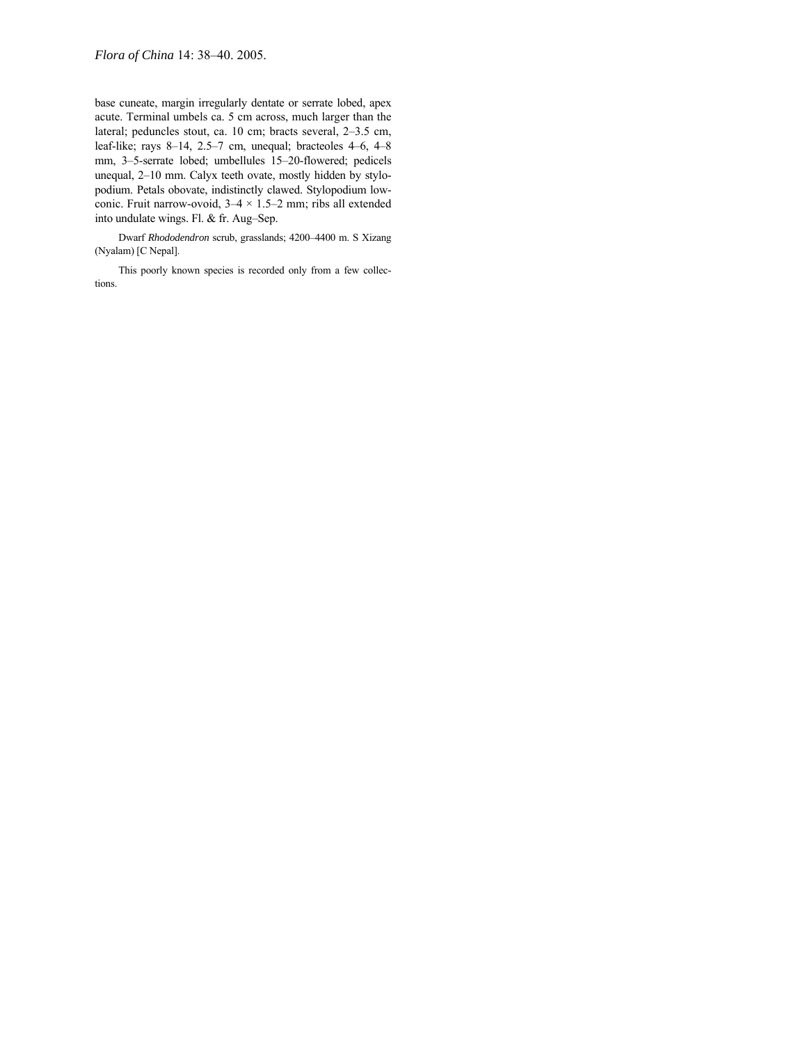base cuneate, margin irregularly dentate or serrate lobed, apex acute. Terminal umbels ca. 5 cm across, much larger than the lateral; peduncles stout, ca. 10 cm; bracts several, 2-3.5 cm, leaf-like; rays  $8-14$ ,  $2.5-7$  cm, unequal; bracteoles  $4-6$ ,  $4-8$ mm, 3-5-serrate lobed; umbellules 15-20-flowered; pedicels unequal, 2-10 mm. Calyx teeth ovate, mostly hidden by stylopodium. Petals obovate, indistinctly clawed. Stylopodium lowconic. Fruit narrow-ovoid,  $3-4 \times 1.5-2$  mm; ribs all extended into undulate wings. Fl. & fr. Aug-Sep.

Dwarf *Rhododendron* scrub, grasslands; 4200-4400 m. S Xizang (Nyalam) [C Nepal].

This poorly known species is recorded only from a few collections.